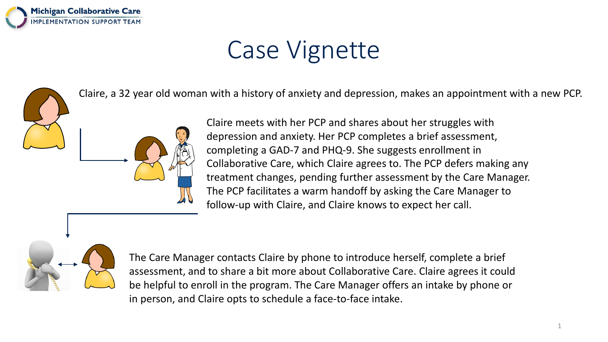

# Case Vignette

Claire, a 32 year old woman with a history of anxiety and depression, makes an appointment with a new PCP.



Claire meets with her PCP and shares about her struggles with depression and anxiety. Her PCP completes a brief assessment, completing a GAD-7 and PHQ-9. She suggests enrollment in Collaborative Care, which Claire agrees to. The PCP defers making any treatment changes, pending further assessment by the Care Manager. The PCP facilitates a warm handoff by asking the Care Manager to follow-up with Claire, and Claire knows to expect her call.



The Care Manager contacts Claire by phone to introduce herself, complete a brief assessment, and to share a bit more about Collaborative Care. Claire agrees it could be helpful to enroll in the program. The Care Manager offers an intake by phone or in person, and Claire opts to schedule a face-to-face intake.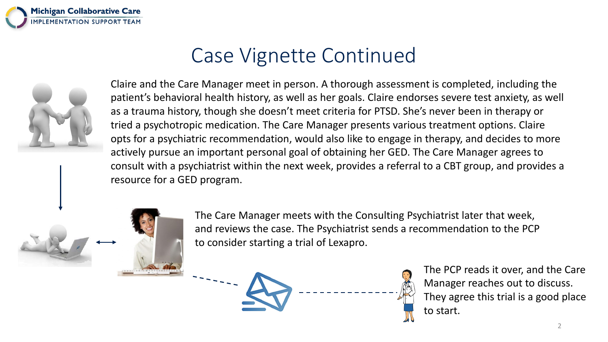



Claire and the Care Manager meet in person. A thorough assessment is completed, including the patient's behavioral health history, as well as her goals. Claire endorses severe test anxiety, as well as a trauma history, though she doesn't meet criteria for PTSD. She's never been in therapy or tried a psychotropic medication. The Care Manager presents various treatment options. Claire opts for a psychiatric recommendation, would also like to engage in therapy, and decides to more actively pursue an important personal goal of obtaining her GED. The Care Manager agrees to consult with a psychiatrist within the next week, provides a referral to a CBT group, and provides a resource for a GED program.



The Care Manager meets with the Consulting Psychiatrist later that week, and reviews the case. The Psychiatrist sends a recommendation to the PCP to consider starting a trial of Lexapro.



The PCP reads it over, and the Care Manager reaches out to discuss. They agree this trial is a good place to start.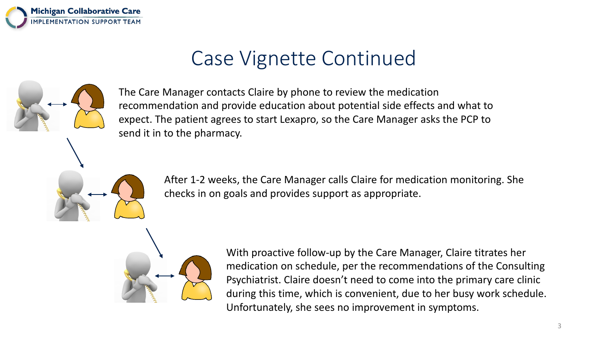



The Care Manager contacts Claire by phone to review the medication recommendation and provide education about potential side effects and what to expect. The patient agrees to start Lexapro, so the Care Manager asks the PCP to send it in to the pharmacy.

> After 1-2 weeks, the Care Manager calls Claire for medication monitoring. She checks in on goals and provides support as appropriate.



With proactive follow-up by the Care Manager, Claire titrates her medication on schedule, per the recommendations of the Consulting Psychiatrist. Claire doesn't need to come into the primary care clinic during this time, which is convenient, due to her busy work schedule. Unfortunately, she sees no improvement in symptoms.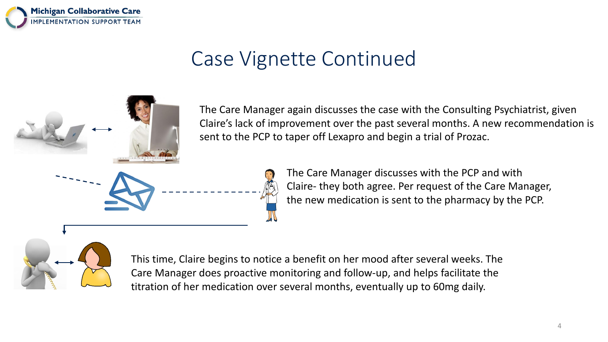

The Care Manager again discusses the case with the Consulting Psychiatrist, given Claire's lack of improvement over the past several months. A new recommendation is sent to the PCP to taper off Lexapro and begin a trial of Prozac.



The Care Manager discusses with the PCP and with Claire- they both agree. Per request of the Care Manager, the new medication is sent to the pharmacy by the PCP.



This time, Claire begins to notice a benefit on her mood after several weeks. The Care Manager does proactive monitoring and follow-up, and helps facilitate the titration of her medication over several months, eventually up to 60mg daily.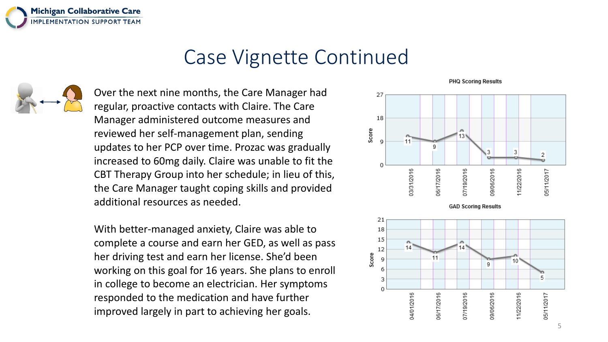

Over the next nine months, the Care Manager had regular, proactive contacts with Claire. The Care Manager administered outcome measures and reviewed her self-management plan, sending updates to her PCP over time. Prozac was gradually increased to 60mg daily. Claire was unable to fit the CBT Therapy Group into her schedule; in lieu of this, the Care Manager taught coping skills and provided additional resources as needed.

With better-managed anxiety, Claire was able to complete a course and earn her GED, as well as pass her driving test and earn her license. She'd been working on this goal for 16 years. She plans to enroll in college to become an electrician. Her symptoms responded to the medication and have further improved largely in part to achieving her goals.

**PHQ Scoring Results**